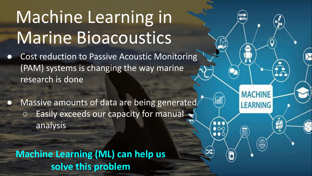# Machine Learning in Marine Bioacoustics

- Cost reduction to Passive Acoustic Monitoring (PAM) systems is changing the way marine research is done
- Massive amounts of data are being generated **O** Easily exceeds our capacity for manual analysis

**MACHINE** 

LEARNING

ど

**Machine Learning (ML) can help us solve this problem**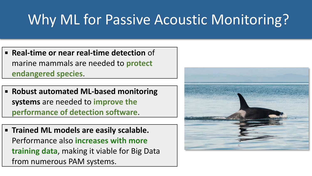# Why ML for Passive Acoustic Monitoring?

- **Real-time or near real-time detection** of marine mammals are needed to **protect endangered species**.
- **Robust automated ML-based monitoring systems** are needed to **improve the performance of detection software**.
- **Trained ML models are easily scalable.**  Performance also **increases with more training data**, making it viable for Big Data from numerous PAM systems.

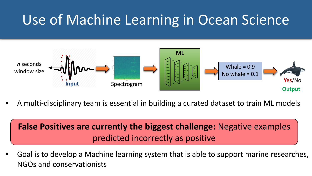# Use of Machine Learning in Ocean Science



A multi-disciplinary team is essential in building a curated dataset to train ML models

### **False Positives are currently the biggest challenge:** Negative examples predicted incorrectly as positive

▪ Goal is to develop a Machine learning system that is able to support marine researches, NGOs and conservationists